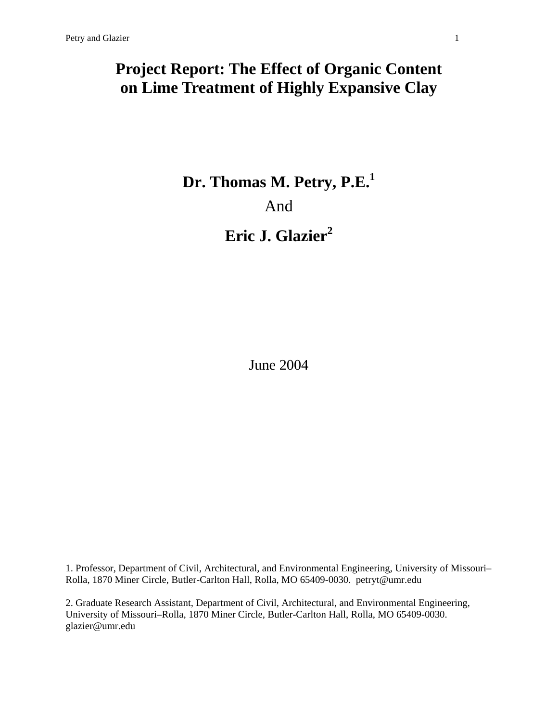## **Project Report: The Effect of Organic Content on Lime Treatment of Highly Expansive Clay**

# **Dr. Thomas M. Petry, P.E.<sup>1</sup>** And **Eric J. Glazier<sup>2</sup>**

June 2004

1. Professor, Department of Civil, Architectural, and Environmental Engineering, University of Missouri– Rolla, 1870 Miner Circle, Butler-Carlton Hall, Rolla, MO 65409-0030. petryt@umr.edu

2. Graduate Research Assistant, Department of Civil, Architectural, and Environmental Engineering, University of Missouri–Rolla, 1870 Miner Circle, Butler-Carlton Hall, Rolla, MO 65409-0030. glazier@umr.edu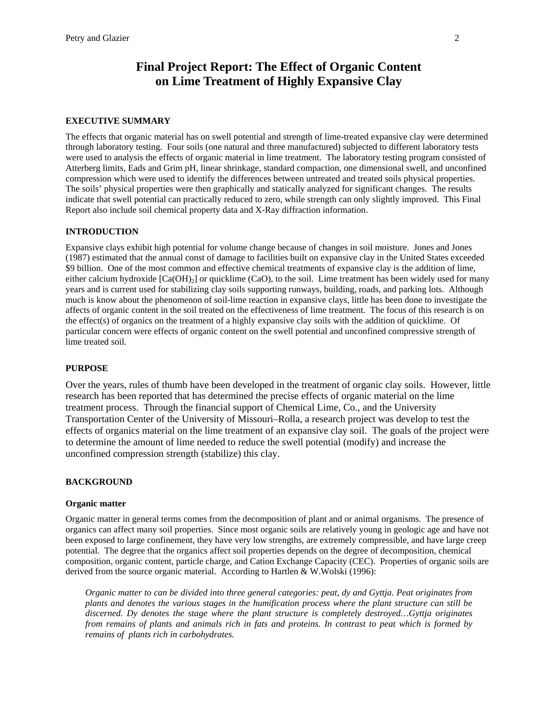### **Final Project Report: The Effect of Organic Content on Lime Treatment of Highly Expansive Clay**

#### **EXECUTIVE SUMMARY**

The effects that organic material has on swell potential and strength of lime-treated expansive clay were determined through laboratory testing. Four soils (one natural and three manufactured) subjected to different laboratory tests were used to analysis the effects of organic material in lime treatment. The laboratory testing program consisted of Atterberg limits, Eads and Grim pH, linear shrinkage, standard compaction, one dimensional swell, and unconfined compression which were used to identify the differences between untreated and treated soils physical properties. The soils' physical properties were then graphically and statically analyzed for significant changes. The results indicate that swell potential can practically reduced to zero, while strength can only slightly improved. This Final Report also include soil chemical property data and X-Ray diffraction information.

#### **INTRODUCTION**

Expansive clays exhibit high potential for volume change because of changes in soil moisture. Jones and Jones (1987) estimated that the annual const of damage to facilities built on expansive clay in the United States exceeded \$9 billion. One of the most common and effective chemical treatments of expansive clay is the addition of lime, either calcium hydroxide  $[Ca(OH)<sub>2</sub>]$  or quicklime (CaO), to the soil. Lime treatment has been widely used for many years and is current used for stabilizing clay soils supporting runways, building, roads, and parking lots. Although much is know about the phenomenon of soil-lime reaction in expansive clays, little has been done to investigate the affects of organic content in the soil treated on the effectiveness of lime treatment. The focus of this research is on the effect(s) of organics on the treatment of a highly expansive clay soils with the addition of quicklime. Of particular concern were effects of organic content on the swell potential and unconfined compressive strength of lime treated soil.

#### **PURPOSE**

Over the years, rules of thumb have been developed in the treatment of organic clay soils. However, little research has been reported that has determined the precise effects of organic material on the lime treatment process. Through the financial support of Chemical Lime, Co., and the University Transportation Center of the University of Missouri–Rolla, a research project was develop to test the effects of organics material on the lime treatment of an expansive clay soil. The goals of the project were to determine the amount of lime needed to reduce the swell potential (modify) and increase the unconfined compression strength (stabilize) this clay.

#### **BACKGROUND**

#### **Organic matter**

Organic matter in general terms comes from the decomposition of plant and or animal organisms. The presence of organics can affect many soil properties. Since most organic soils are relatively young in geologic age and have not been exposed to large confinement, they have very low strengths, are extremely compressible, and have large creep potential. The degree that the organics affect soil properties depends on the degree of decomposition, chemical composition, organic content, particle charge, and Cation Exchange Capacity (CEC). Properties of organic soils are derived from the source organic material. According to Hartlen & W.Wolski (1996):

*Organic matter to can be divided into three general categories: peat, dy and Gyttja. Peat originates from plants and denotes the various stages in the humification process where the plant structure can still be discerned. Dy denotes the stage where the plant structure is completely destroyed…Gyttja originates from remains of plants and animals rich in fats and proteins. In contrast to peat which is formed by remains of plants rich in carbohydrates.*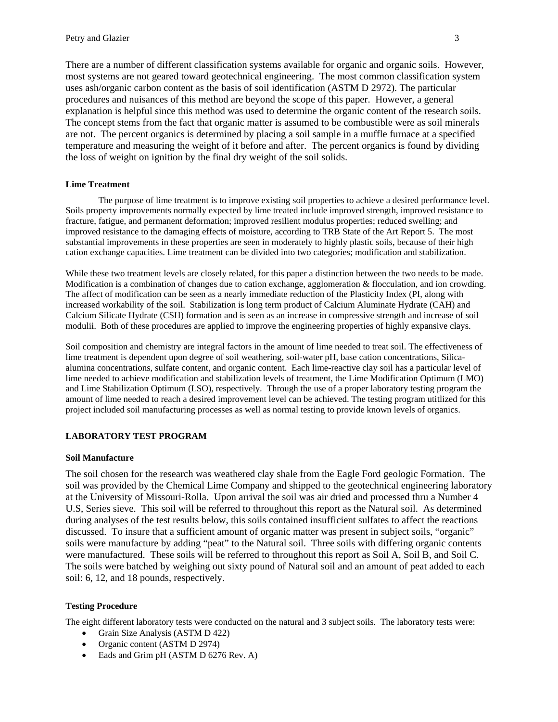There are a number of different classification systems available for organic and organic soils. However, most systems are not geared toward geotechnical engineering. The most common classification system uses ash/organic carbon content as the basis of soil identification (ASTM D 2972). The particular procedures and nuisances of this method are beyond the scope of this paper. However, a general explanation is helpful since this method was used to determine the organic content of the research soils. The concept stems from the fact that organic matter is assumed to be combustible were as soil minerals are not. The percent organics is determined by placing a soil sample in a muffle furnace at a specified temperature and measuring the weight of it before and after. The percent organics is found by dividing the loss of weight on ignition by the final dry weight of the soil solids.

#### **Lime Treatment**

 The purpose of lime treatment is to improve existing soil properties to achieve a desired performance level. Soils property improvements normally expected by lime treated include improved strength, improved resistance to fracture, fatigue, and permanent deformation; improved resilient modulus properties; reduced swelling; and improved resistance to the damaging effects of moisture, according to TRB State of the Art Report 5. The most substantial improvements in these properties are seen in moderately to highly plastic soils, because of their high cation exchange capacities. Lime treatment can be divided into two categories; modification and stabilization.

While these two treatment levels are closely related, for this paper a distinction between the two needs to be made. Modification is a combination of changes due to cation exchange, agglomeration & flocculation, and ion crowding. The affect of modification can be seen as a nearly immediate reduction of the Plasticity Index (PI, along with increased workability of the soil. Stabilization is long term product of Calcium Aluminate Hydrate (CAH) and Calcium Silicate Hydrate (CSH) formation and is seen as an increase in compressive strength and increase of soil modulii. Both of these procedures are applied to improve the engineering properties of highly expansive clays.

Soil composition and chemistry are integral factors in the amount of lime needed to treat soil. The effectiveness of lime treatment is dependent upon degree of soil weathering, soil-water pH, base cation concentrations, Silicaalumina concentrations, sulfate content, and organic content. Each lime-reactive clay soil has a particular level of lime needed to achieve modification and stabilization levels of treatment, the Lime Modification Optimum (LMO) and Lime Stabilization Optimum (LSO), respectively. Through the use of a proper laboratory testing program the amount of lime needed to reach a desired improvement level can be achieved. The testing program utitlized for this project included soil manufacturing processes as well as normal testing to provide known levels of organics.

#### **LABORATORY TEST PROGRAM**

#### **Soil Manufacture**

The soil chosen for the research was weathered clay shale from the Eagle Ford geologic Formation. The soil was provided by the Chemical Lime Company and shipped to the geotechnical engineering laboratory at the University of Missouri-Rolla. Upon arrival the soil was air dried and processed thru a Number 4 U.S, Series sieve. This soil will be referred to throughout this report as the Natural soil. As determined during analyses of the test results below, this soils contained insufficient sulfates to affect the reactions discussed. To insure that a sufficient amount of organic matter was present in subject soils, "organic" soils were manufacture by adding "peat" to the Natural soil. Three soils with differing organic contents were manufactured. These soils will be referred to throughout this report as Soil A, Soil B, and Soil C. The soils were batched by weighing out sixty pound of Natural soil and an amount of peat added to each soil: 6, 12, and 18 pounds, respectively.

#### **Testing Procedure**

The eight different laboratory tests were conducted on the natural and 3 subject soils. The laboratory tests were:

- Grain Size Analysis (ASTM D 422)
- Organic content (ASTM D 2974)
- Eads and Grim pH (ASTM D 6276 Rev. A)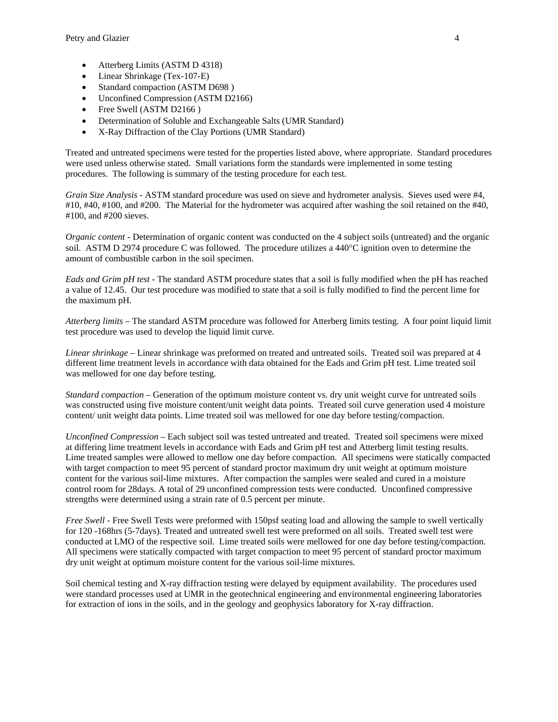- Atterberg Limits (ASTM D 4318)
- Linear Shrinkage (Tex-107-E)
- Standard compaction (ASTM D698)
- Unconfined Compression (ASTM D2166)
- Free Swell (ASTM D2166)
- Determination of Soluble and Exchangeable Salts (UMR Standard)
- X-Ray Diffraction of the Clay Portions (UMR Standard)

Treated and untreated specimens were tested for the properties listed above, where appropriate. Standard procedures were used unless otherwise stated. Small variations form the standards were implemented in some testing procedures. The following is summary of the testing procedure for each test.

*Grain Size Analysis* - ASTM standard procedure was used on sieve and hydrometer analysis. Sieves used were #4, #10, #40, #100, and #200. The Material for the hydrometer was acquired after washing the soil retained on the #40, #100, and #200 sieves.

*Organic content* - Determination of organic content was conducted on the 4 subject soils (untreated) and the organic soil. ASTM D 2974 procedure C was followed. The procedure utilizes a 440°C ignition oven to determine the amount of combustible carbon in the soil specimen.

*Eads and Grim pH test* - The standard ASTM procedure states that a soil is fully modified when the pH has reached a value of 12.45. Our test procedure was modified to state that a soil is fully modified to find the percent lime for the maximum pH.

*Atterberg limits* – The standard ASTM procedure was followed for Atterberg limits testing. A four point liquid limit test procedure was used to develop the liquid limit curve.

*Linear shrinkage* – Linear shrinkage was preformed on treated and untreated soils. Treated soil was prepared at 4 different lime treatment levels in accordance with data obtained for the Eads and Grim pH test. Lime treated soil was mellowed for one day before testing.

*Standard compaction* – Generation of the optimum moisture content vs. dry unit weight curve for untreated soils was constructed using five moisture content/unit weight data points. Treated soil curve generation used 4 moisture content/ unit weight data points. Lime treated soil was mellowed for one day before testing/compaction.

*Unconfined Compression* – Each subject soil was tested untreated and treated. Treated soil specimens were mixed at differing lime treatment levels in accordance with Eads and Grim pH test and Atterberg limit testing results. Lime treated samples were allowed to mellow one day before compaction. All specimens were statically compacted with target compaction to meet 95 percent of standard proctor maximum dry unit weight at optimum moisture content for the various soil-lime mixtures. After compaction the samples were sealed and cured in a moisture control room for 28days. A total of 29 unconfined compression tests were conducted. Unconfined compressive strengths were determined using a strain rate of 0.5 percent per minute.

*Free Swell* - Free Swell Tests were preformed with 150psf seating load and allowing the sample to swell vertically for 120 -168hrs (5-7days). Treated and untreated swell test were preformed on all soils. Treated swell test were conducted at LMO of the respective soil. Lime treated soils were mellowed for one day before testing/compaction. All specimens were statically compacted with target compaction to meet 95 percent of standard proctor maximum dry unit weight at optimum moisture content for the various soil-lime mixtures.

Soil chemical testing and X-ray diffraction testing were delayed by equipment availability. The procedures used were standard processes used at UMR in the geotechnical engineering and environmental engineering laboratories for extraction of ions in the soils, and in the geology and geophysics laboratory for X-ray diffraction.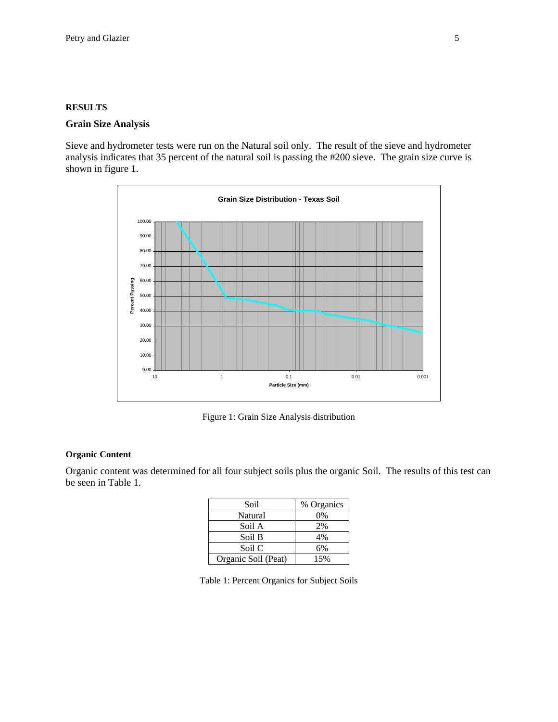#### **RESULTS**

#### **Grain Size Analysis**

Sieve and hydrometer tests were run on the Natural soil only. The result of the sieve and hydrometer analysis indicates that 35 percent of the natural soil is passing the #200 sieve. The grain size curve is shown in figure 1.



Figure 1: Grain Size Analysis distribution

#### **Organic Content**

Organic content was determined for all four subject soils plus the organic Soil. The results of this test can be seen in Table 1.

| Soil                | % Organics |
|---------------------|------------|
| Natural             | 0%         |
| Soil A              | 2%         |
| Soil B              | 4%         |
| Soil C              | 6%         |
| Organic Soil (Peat) | 15%        |

Table 1: Percent Organics for Subject Soils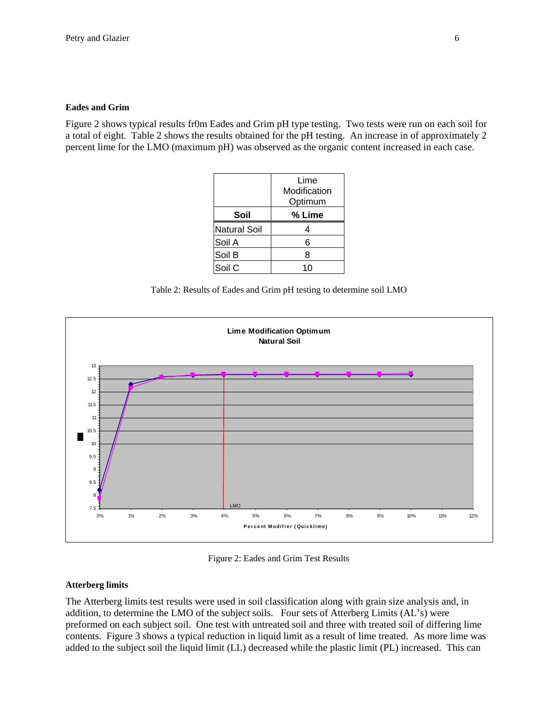#### **Eades and Grim**

Figure 2 shows typical results fr0m Eades and Grim pH type testing. Two tests were run on each soil for a total of eight. Table 2 shows the results obtained for the pH testing. An increase in of approximately 2 percent lime for the LMO (maximum pH) was observed as the organic content increased in each case.

|                     | Lime<br>Modification<br>Optimum |
|---------------------|---------------------------------|
| Soil                | % Lime                          |
| <b>Natural Soil</b> | 4                               |
| Soil A              | 6                               |
| Soil B              | 8                               |
| Soil C              |                                 |

Table 2: Results of Eades and Grim pH testing to determine soil LMO



Figure 2: Eades and Grim Test Results

#### **Atterberg limits**

The Atterberg limits test results were used in soil classification along with grain size analysis and, in addition, to determine the LMO of the subject soils. Four sets of Atterberg Limits (AL's) were preformed on each subject soil. One test with untreated soil and three with treated soil of differing lime contents. Figure 3 shows a typical reduction in liquid limit as a result of lime treated. As more lime was added to the subject soil the liquid limit (LL) decreased while the plastic limit (PL) increased. This can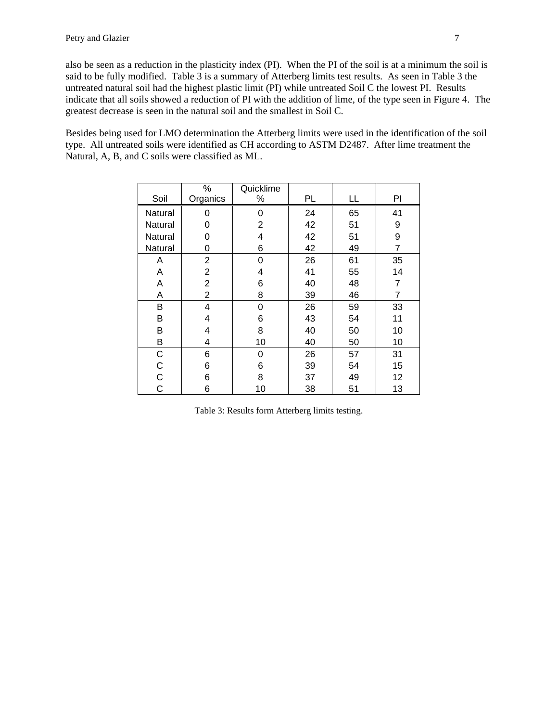also be seen as a reduction in the plasticity index (PI). When the PI of the soil is at a minimum the soil is said to be fully modified. Table 3 is a summary of Atterberg limits test results. As seen in Table 3 the untreated natural soil had the highest plastic limit (PI) while untreated Soil C the lowest PI. Results indicate that all soils showed a reduction of PI with the addition of lime, of the type seen in Figure 4. The greatest decrease is seen in the natural soil and the smallest in Soil C.

Besides being used for LMO determination the Atterberg limits were used in the identification of the soil type. All untreated soils were identified as CH according to ASTM D2487. After lime treatment the Natural, A, B, and C soils were classified as ML.

| Soil           | $\%$<br>Organics | Quicklime<br>$\%$ | <b>PL</b> | LL | PI             |
|----------------|------------------|-------------------|-----------|----|----------------|
|                |                  |                   |           |    |                |
| Natural        | O                | 0                 | 24        | 65 | 41             |
| Natural        | 0                | $\overline{2}$    | 42        | 51 | 9              |
| Natural        | 0                | 4                 | 42        | 51 | 9              |
| Natural        | 0                | 6                 | 42        | 49 | $\overline{7}$ |
| A              | 2                | 0                 | 26        | 61 | 35             |
| Α              | $\overline{2}$   | 4                 | 41        | 55 | 14             |
| Α              | $\overline{2}$   | 6                 | 40        | 48 | 7              |
| Α              | $\overline{2}$   | 8                 | 39        | 46 | 7              |
| В              | 4                | 0                 | 26        | 59 | 33             |
| В              | 4                | 6                 | 43        | 54 | 11             |
| В              | 4                | 8                 | 40        | 50 | 10             |
| B              | 4                | 10                | 40        | 50 | 10             |
| $\mathsf C$    | 6                | 0                 | 26        | 57 | 31             |
| $\mathsf C$    | 6                | 6                 | 39        | 54 | 15             |
| $\mathsf{C}$   | 6                | 8                 | 37        | 49 | 12             |
| $\overline{C}$ | 6                | 10                | 38        | 51 | 13             |

Table 3: Results form Atterberg limits testing.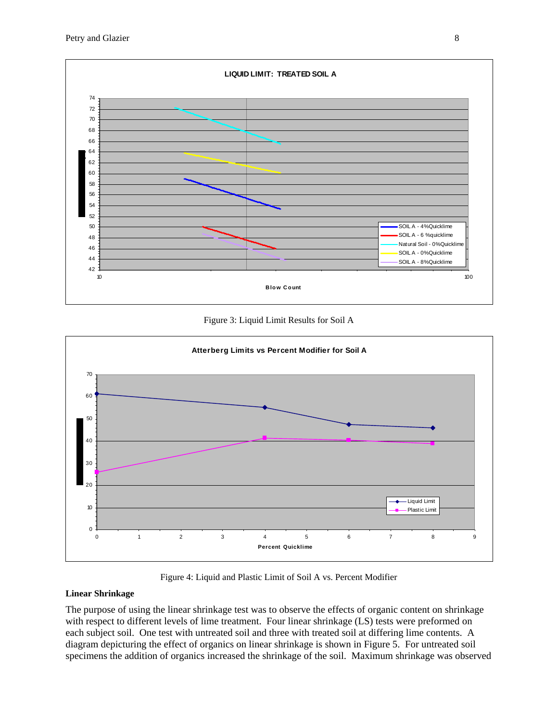

Figure 3: Liquid Limit Results for Soil A



Figure 4: Liquid and Plastic Limit of Soil A vs. Percent Modifier

#### **Linear Shrinkage**

The purpose of using the linear shrinkage test was to observe the effects of organic content on shrinkage with respect to different levels of lime treatment. Four linear shrinkage (LS) tests were preformed on each subject soil. One test with untreated soil and three with treated soil at differing lime contents. A diagram depicturing the effect of organics on linear shrinkage is shown in Figure 5. For untreated soil specimens the addition of organics increased the shrinkage of the soil. Maximum shrinkage was observed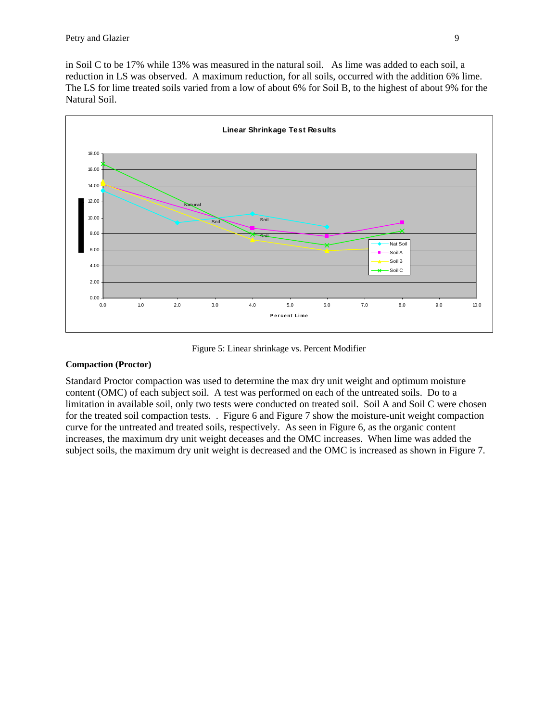in Soil C to be 17% while 13% was measured in the natural soil. As lime was added to each soil, a reduction in LS was observed. A maximum reduction, for all soils, occurred with the addition 6% lime. The LS for lime treated soils varied from a low of about 6% for Soil B, to the highest of about 9% for the Natural Soil.



Figure 5: Linear shrinkage vs. Percent Modifier

#### **Compaction (Proctor)**

Standard Proctor compaction was used to determine the max dry unit weight and optimum moisture content (OMC) of each subject soil. A test was performed on each of the untreated soils. Do to a limitation in available soil, only two tests were conducted on treated soil. Soil A and Soil C were chosen for the treated soil compaction tests. . Figure 6 and Figure 7 show the moisture-unit weight compaction curve for the untreated and treated soils, respectively. As seen in Figure 6, as the organic content increases, the maximum dry unit weight deceases and the OMC increases. When lime was added the subject soils, the maximum dry unit weight is decreased and the OMC is increased as shown in Figure 7.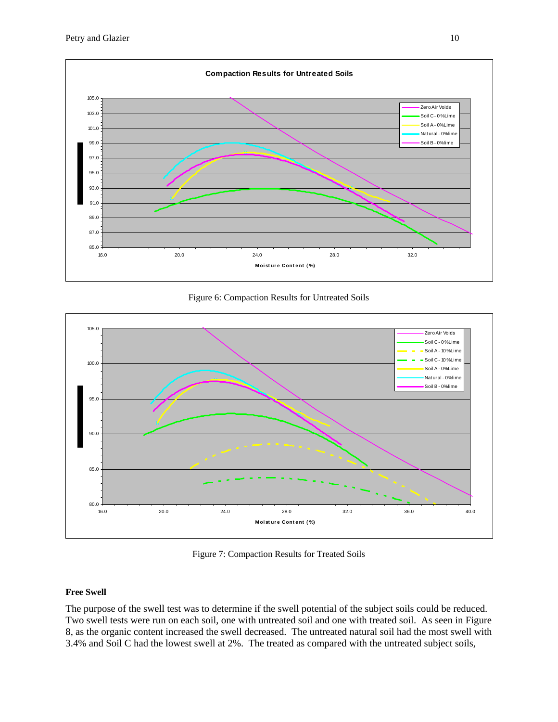

Figure 6: Compaction Results for Untreated Soils



Figure 7: Compaction Results for Treated Soils

#### **Free Swell**

The purpose of the swell test was to determine if the swell potential of the subject soils could be reduced. Two swell tests were run on each soil, one with untreated soil and one with treated soil. As seen in Figure 8, as the organic content increased the swell decreased. The untreated natural soil had the most swell with 3.4% and Soil C had the lowest swell at 2%. The treated as compared with the untreated subject soils,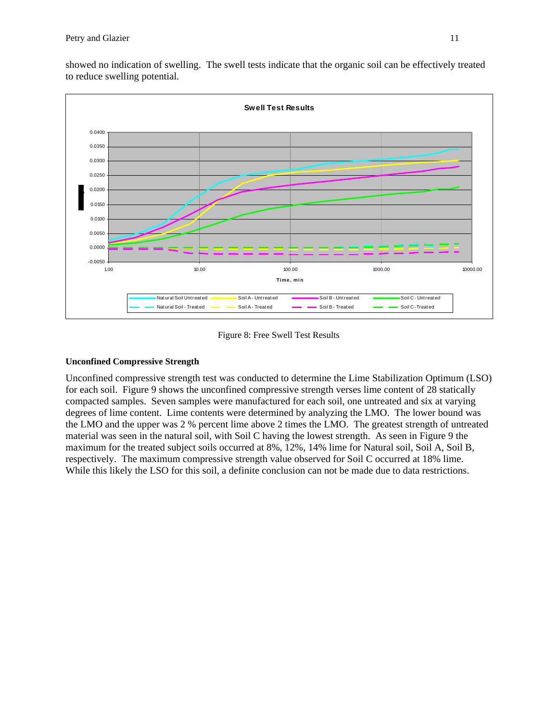

showed no indication of swelling. The swell tests indicate that the organic soil can be effectively treated to reduce swelling potential.

Figure 8: Free Swell Test Results

#### **Unconfined Compressive Strength**

Unconfined compressive strength test was conducted to determine the Lime Stabilization Optimum (LSO) for each soil. Figure 9 shows the unconfined compressive strength verses lime content of 28 statically compacted samples. Seven samples were manufactured for each soil, one untreated and six at varying degrees of lime content. Lime contents were determined by analyzing the LMO. The lower bound was the LMO and the upper was 2 % percent lime above 2 times the LMO. The greatest strength of untreated material was seen in the natural soil, with Soil C having the lowest strength. As seen in Figure 9 the maximum for the treated subject soils occurred at 8%, 12%, 14% lime for Natural soil, Soil A, Soil B, respectively. The maximum compressive strength value observed for Soil C occurred at 18% lime. While this likely the LSO for this soil, a definite conclusion can not be made due to data restrictions.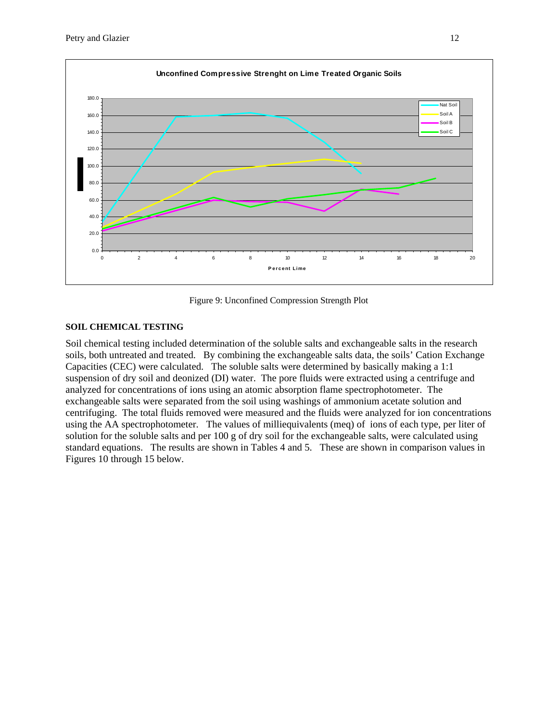

Figure 9: Unconfined Compression Strength Plot

#### **SOIL CHEMICAL TESTING**

Soil chemical testing included determination of the soluble salts and exchangeable salts in the research soils, both untreated and treated. By combining the exchangeable salts data, the soils' Cation Exchange Capacities (CEC) were calculated. The soluble salts were determined by basically making a 1:1 suspension of dry soil and deonized (DI) water. The pore fluids were extracted using a centrifuge and analyzed for concentrations of ions using an atomic absorption flame spectrophotometer. The exchangeable salts were separated from the soil using washings of ammonium acetate solution and centrifuging. The total fluids removed were measured and the fluids were analyzed for ion concentrations using the AA spectrophotometer. The values of milliequivalents (meq) of ions of each type, per liter of solution for the soluble salts and per 100 g of dry soil for the exchangeable salts, were calculated using standard equations. The results are shown in Tables 4 and 5. These are shown in comparison values in Figures 10 through 15 below.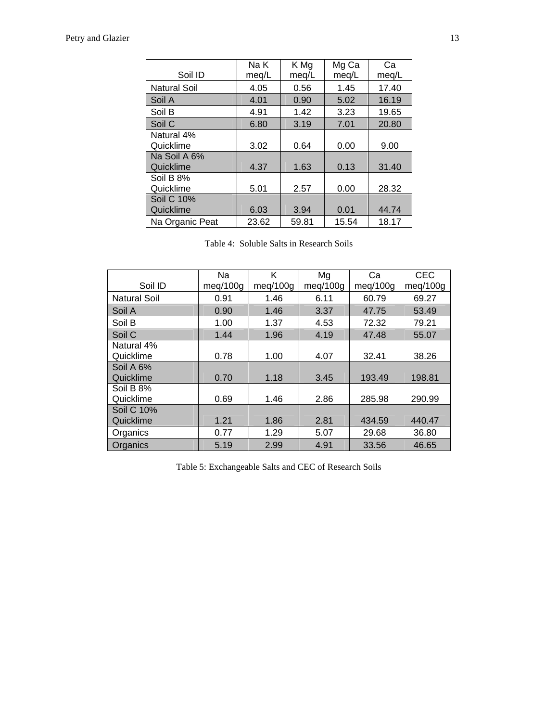| Soil ID                   | Na K<br>meg/L | K Mg<br>meg/L | Mg Ca<br>meq/L | Ca<br>meg/L |
|---------------------------|---------------|---------------|----------------|-------------|
| <b>Natural Soil</b>       | 4.05          | 0.56          | 1.45           | 17.40       |
| Soil A                    | 4.01          | 0.90          | 5.02           | 16.19       |
| Soil B                    | 4.91          | 1.42          | 3.23           | 19.65       |
| Soil C                    | 6.80          | 3.19          | 7.01           | 20.80       |
| Natural 4%<br>Quicklime   | 3.02          | 0.64          | 0.00           | 9.00        |
| Na Soil A 6%<br>Quicklime | 4.37          | 1.63          | 0.13           | 31.40       |
| Soil B 8%<br>Quicklime    | 5.01          | 2.57          | 0.00           | 28.32       |
| Soil C 10%<br>Quicklime   | 6.03          | 3.94          | 0.01           | 44.74       |
| Na Organic Peat           | 23.62         | 59.81         | 15.54          | 18.17       |

Table 4: Soluble Salts in Research Soils

|                                | Na       | Κ        | Mg       | Ca       | <b>CEC</b> |
|--------------------------------|----------|----------|----------|----------|------------|
| Soil ID                        | meg/100g | meg/100g | meq/100q | meq/100g | meg/100g   |
| <b>Natural Soil</b>            | 0.91     | 1.46     | 6.11     | 60.79    | 69.27      |
| Soil A                         | 0.90     | 1.46     | 3.37     | 47.75    | 53.49      |
| Soil B                         | 1.00     | 1.37     | 4.53     | 72.32    | 79.21      |
| Soil C                         | 1.44     | 1.96     | 4.19     | 47.48    | 55.07      |
| Natural 4%<br>Quicklime        | 0.78     | 1.00     | 4.07     | 32.41    | 38.26      |
| Soil A 6%<br>Quicklime         | 0.70     | 1.18     | 3.45     | 193.49   | 198.81     |
| Soil B 8%<br>Quicklime         | 0.69     | 1.46     | 2.86     | 285.98   | 290.99     |
| <b>Soil C 10%</b><br>Quicklime | 1.21     | 1.86     | 2.81     | 434.59   | 440.47     |
| Organics                       | 0.77     | 1.29     | 5.07     | 29.68    | 36.80      |
| Organics                       | 5.19     | 2.99     | 4.91     | 33.56    | 46.65      |

Table 5: Exchangeable Salts and CEC of Research Soils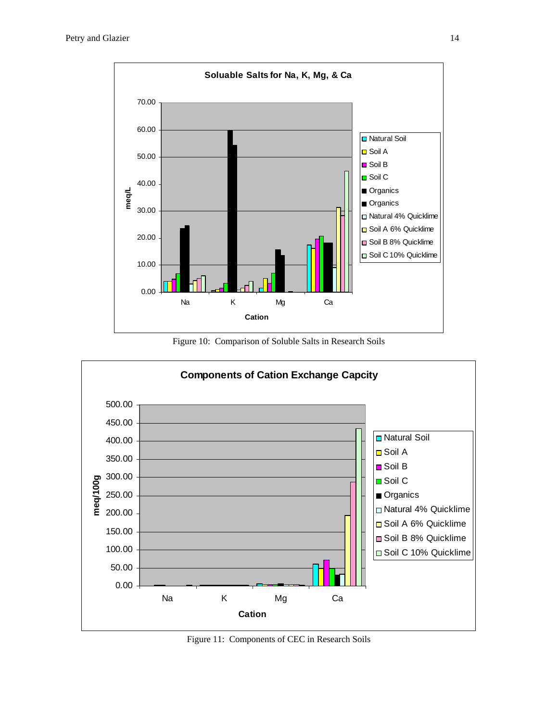

Figure 10: Comparison of Soluble Salts in Research Soils



Figure 11: Components of CEC in Research Soils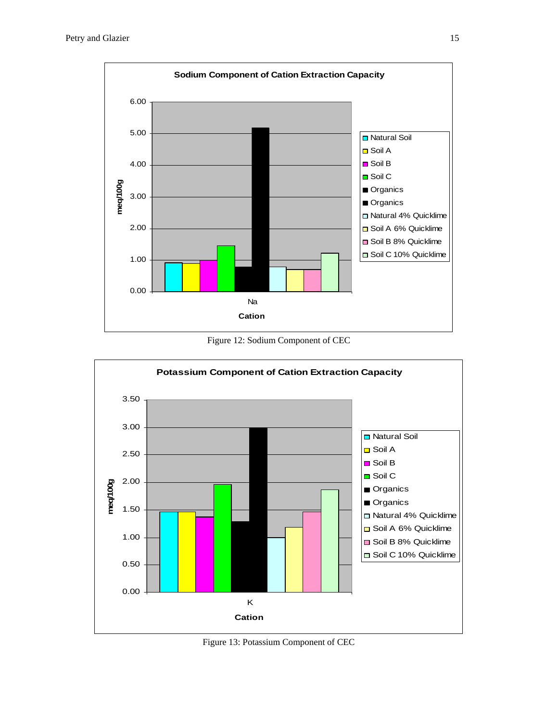

Figure 12: Sodium Component of CEC



Figure 13: Potassium Component of CEC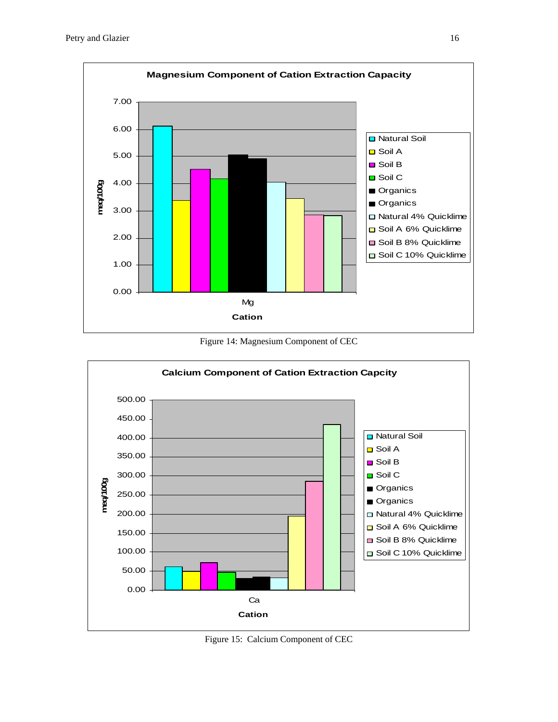

Figure 14: Magnesium Component of CEC



Figure 15: Calcium Component of CEC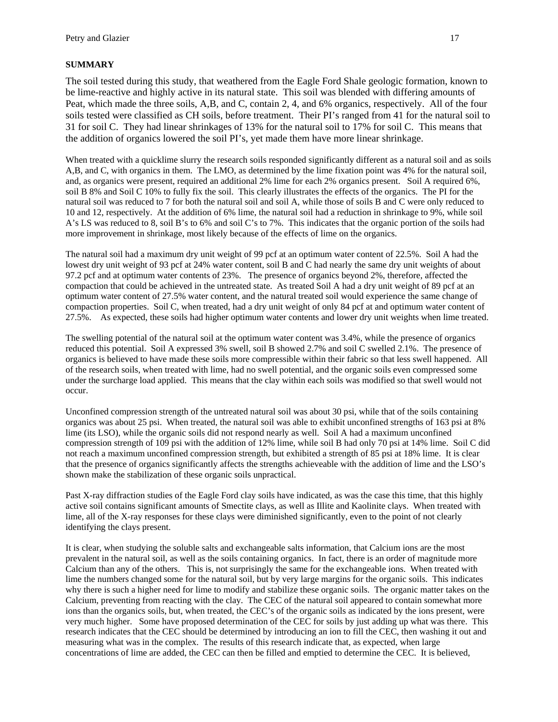#### **SUMMARY**

The soil tested during this study, that weathered from the Eagle Ford Shale geologic formation, known to be lime-reactive and highly active in its natural state. This soil was blended with differing amounts of Peat, which made the three soils, A,B, and C, contain 2, 4, and 6% organics, respectively. All of the four soils tested were classified as CH soils, before treatment. Their PI's ranged from 41 for the natural soil to 31 for soil C. They had linear shrinkages of 13% for the natural soil to 17% for soil C. This means that the addition of organics lowered the soil PI's, yet made them have more linear shrinkage.

When treated with a quicklime slurry the research soils responded significantly different as a natural soil and as soils A,B, and C, with organics in them. The LMO, as determined by the lime fixation point was 4% for the natural soil, and, as organics were present, required an additional 2% lime for each 2% organics present. Soil A required 6%, soil B 8% and Soil C 10% to fully fix the soil. This clearly illustrates the effects of the organics. The PI for the natural soil was reduced to 7 for both the natural soil and soil A, while those of soils B and C were only reduced to 10 and 12, respectively. At the addition of 6% lime, the natural soil had a reduction in shrinkage to 9%, while soil A's LS was reduced to 8, soil B's to 6% and soil C's to 7%. This indicates that the organic portion of the soils had more improvement in shrinkage, most likely because of the effects of lime on the organics.

The natural soil had a maximum dry unit weight of 99 pcf at an optimum water content of 22.5%. Soil A had the lowest dry unit weight of 93 pcf at 24% water content, soil B and C had nearly the same dry unit weights of about 97.2 pcf and at optimum water contents of 23%. The presence of organics beyond 2%, therefore, affected the compaction that could be achieved in the untreated state. As treated Soil A had a dry unit weight of 89 pcf at an optimum water content of 27.5% water content, and the natural treated soil would experience the same change of compaction properties. Soil C, when treated, had a dry unit weight of only 84 pcf at and optimum water content of 27.5%. As expected, these soils had higher optimum water contents and lower dry unit weights when lime treated.

The swelling potential of the natural soil at the optimum water content was 3.4%, while the presence of organics reduced this potential. Soil A expressed 3% swell, soil B showed 2.7% and soil C swelled 2.1%. The presence of organics is believed to have made these soils more compressible within their fabric so that less swell happened. All of the research soils, when treated with lime, had no swell potential, and the organic soils even compressed some under the surcharge load applied. This means that the clay within each soils was modified so that swell would not occur.

Unconfined compression strength of the untreated natural soil was about 30 psi, while that of the soils containing organics was about 25 psi. When treated, the natural soil was able to exhibit unconfined strengths of 163 psi at 8% lime (its LSO), while the organic soils did not respond nearly as well. Soil A had a maximum unconfined compression strength of 109 psi with the addition of 12% lime, while soil B had only 70 psi at 14% lime. Soil C did not reach a maximum unconfined compression strength, but exhibited a strength of 85 psi at 18% lime. It is clear that the presence of organics significantly affects the strengths achieveable with the addition of lime and the LSO's shown make the stabilization of these organic soils unpractical.

Past X-ray diffraction studies of the Eagle Ford clay soils have indicated, as was the case this time, that this highly active soil contains significant amounts of Smectite clays, as well as Illite and Kaolinite clays. When treated with lime, all of the X-ray responses for these clays were diminished significantly, even to the point of not clearly identifying the clays present.

It is clear, when studying the soluble salts and exchangeable salts information, that Calcium ions are the most prevalent in the natural soil, as well as the soils containing organics. In fact, there is an order of magnitude more Calcium than any of the others. This is, not surprisingly the same for the exchangeable ions. When treated with lime the numbers changed some for the natural soil, but by very large margins for the organic soils. This indicates why there is such a higher need for lime to modify and stabilize these organic soils. The organic matter takes on the Calcium, preventing from reacting with the clay. The CEC of the natural soil appeared to contain somewhat more ions than the organics soils, but, when treated, the CEC's of the organic soils as indicated by the ions present, were very much higher. Some have proposed determination of the CEC for soils by just adding up what was there. This research indicates that the CEC should be determined by introducing an ion to fill the CEC, then washing it out and measuring what was in the complex. The results of this research indicate that, as expected, when large concentrations of lime are added, the CEC can then be filled and emptied to determine the CEC. It is believed,